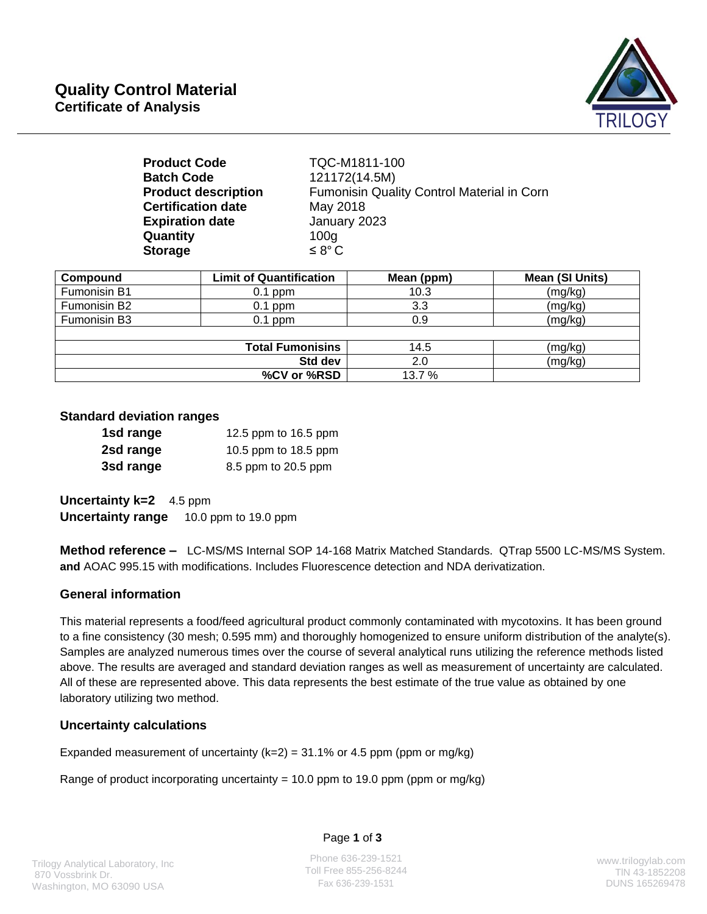

| <b>Product Code</b>        | TQC-M1811-100                              |
|----------------------------|--------------------------------------------|
| <b>Batch Code</b>          | 121172(14.5M)                              |
| <b>Product description</b> | Fumonisin Quality Control Material in Corn |
| <b>Certification date</b>  | May 2018                                   |
| <b>Expiration date</b>     | January 2023                               |
| Quantity                   | 100 <sub>g</sub>                           |
| <b>Storage</b>             | $\leq 8^{\circ}$ C                         |

| Compound                 | <b>Limit of Quantification</b> | Mean (ppm) | Mean (SI Units) |
|--------------------------|--------------------------------|------------|-----------------|
| Fumonisin B1             | $0.1$ ppm                      | 10.3       | (mg/kg)         |
| Fumonisin B <sub>2</sub> | $0.1$ ppm                      | 3.3        | (mg/kg)         |
| Fumonisin B3             | $0.1$ ppm                      | 0.9        | (mg/kg)         |
|                          |                                |            |                 |
| <b>Total Fumonisins</b>  |                                | 14.5       | (mg/kg)         |
| Std dev                  |                                | 2.0        | (mg/kg)         |
| %CV or %RSD              |                                | 13.7 %     |                 |

### **Standard deviation ranges**

| 1sd range | 12.5 ppm to 16.5 ppm |
|-----------|----------------------|
| 2sd range | 10.5 ppm to 18.5 ppm |
| 3sd range | 8.5 ppm to 20.5 ppm  |

**Uncertainty k=2** 4.5 ppm **Uncertainty range** 10.0 ppm to 19.0 ppm

**Method reference –** LC-MS/MS Internal SOP 14-168 Matrix Matched Standards. QTrap 5500 LC-MS/MS System. **and** AOAC 995.15 with modifications. Includes Fluorescence detection and NDA derivatization.

## **General information**

This material represents a food/feed agricultural product commonly contaminated with mycotoxins. It has been ground to a fine consistency (30 mesh; 0.595 mm) and thoroughly homogenized to ensure uniform distribution of the analyte(s). Samples are analyzed numerous times over the course of several analytical runs utilizing the reference methods listed above. The results are averaged and standard deviation ranges as well as measurement of uncertainty are calculated. All of these are represented above. This data represents the best estimate of the true value as obtained by one laboratory utilizing two method.

## **Uncertainty calculations**

Expanded measurement of uncertainty  $(k=2) = 31.1\%$  or 4.5 ppm (ppm or mg/kg)

Range of product incorporating uncertainty = 10.0 ppm to 19.0 ppm (ppm or mg/kg)

#### Page **1** of **3**

Phone 636-239-1521 Toll Free 855-256-8244 Fax 636-239-1531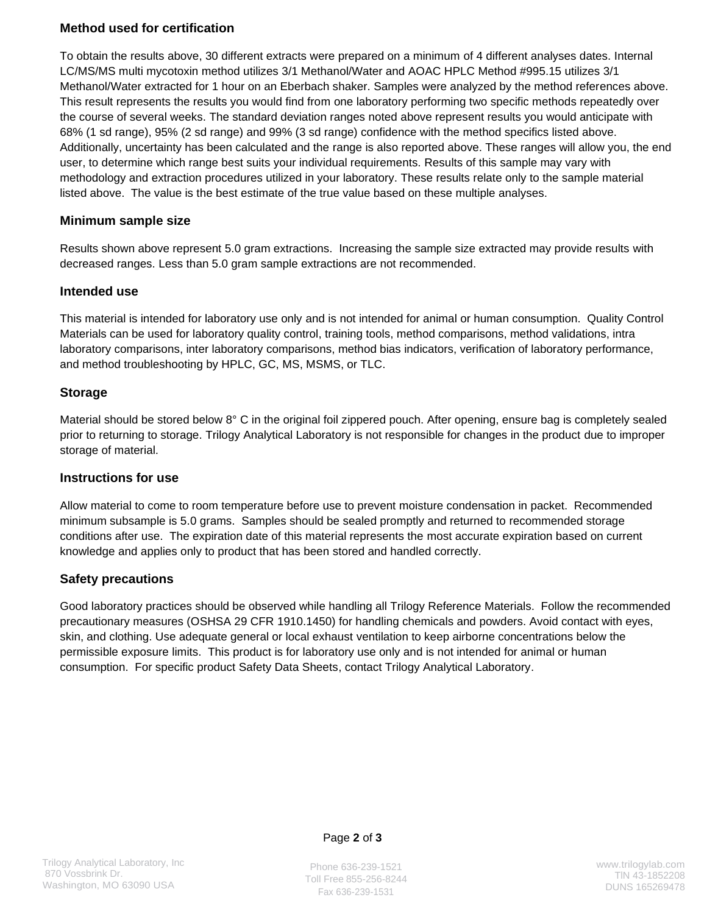## **Method used for certification**

To obtain the results above, 30 different extracts were prepared on a minimum of 4 different analyses dates. Internal LC/MS/MS multi mycotoxin method utilizes 3/1 Methanol/Water and AOAC HPLC Method #995.15 utilizes 3/1 Methanol/Water extracted for 1 hour on an Eberbach shaker. Samples were analyzed by the method references above. This result represents the results you would find from one laboratory performing two specific methods repeatedly over the course of several weeks. The standard deviation ranges noted above represent results you would anticipate with 68% (1 sd range), 95% (2 sd range) and 99% (3 sd range) confidence with the method specifics listed above. Additionally, uncertainty has been calculated and the range is also reported above. These ranges will allow you, the end user, to determine which range best suits your individual requirements. Results of this sample may vary with methodology and extraction procedures utilized in your laboratory. These results relate only to the sample material listed above. The value is the best estimate of the true value based on these multiple analyses.

### **Minimum sample size**

Results shown above represent 5.0 gram extractions. Increasing the sample size extracted may provide results with decreased ranges. Less than 5.0 gram sample extractions are not recommended.

### **Intended use**

This material is intended for laboratory use only and is not intended for animal or human consumption. Quality Control Materials can be used for laboratory quality control, training tools, method comparisons, method validations, intra laboratory comparisons, inter laboratory comparisons, method bias indicators, verification of laboratory performance, and method troubleshooting by HPLC, GC, MS, MSMS, or TLC.

### **Storage**

Material should be stored below 8° C in the original foil zippered pouch. After opening, ensure bag is completely sealed prior to returning to storage. Trilogy Analytical Laboratory is not responsible for changes in the product due to improper storage of material.

#### **Instructions for use**

Allow material to come to room temperature before use to prevent moisture condensation in packet. Recommended minimum subsample is 5.0 grams. Samples should be sealed promptly and returned to recommended storage conditions after use. The expiration date of this material represents the most accurate expiration based on current knowledge and applies only to product that has been stored and handled correctly.

## **Safety precautions**

Good laboratory practices should be observed while handling all Trilogy Reference Materials. Follow the recommended precautionary measures (OSHSA 29 CFR 1910.1450) for handling chemicals and powders. Avoid contact with eyes, skin, and clothing. Use adequate general or local exhaust ventilation to keep airborne concentrations below the permissible exposure limits. This product is for laboratory use only and is not intended for animal or human consumption. For specific product Safety Data Sheets, contact Trilogy Analytical Laboratory.



Phone 636-239-1521 Toll Free 855-256-8244 Fax 636-239-1531